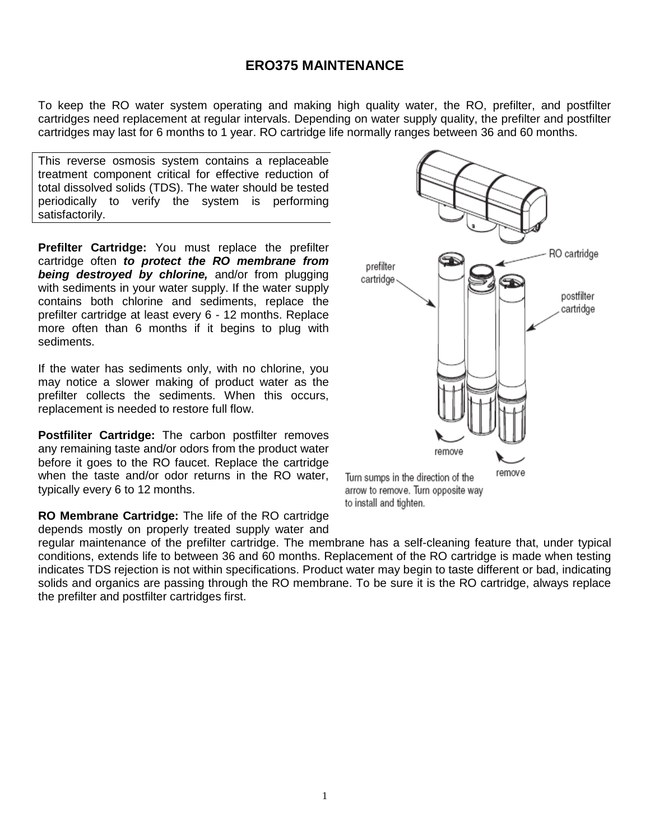## **ERO375 MAINTENANCE**

To keep the RO water system operating and making high quality water, the RO, prefilter, and postfilter cartridges need replacement at regular intervals. Depending on water supply quality, the prefilter and postfilter cartridges may last for 6 months to 1 year. RO cartridge life normally ranges between 36 and 60 months.

This reverse osmosis system contains a replaceable treatment component critical for effective reduction of total dissolved solids (TDS). The water should be tested periodically to verify the system is performing satisfactorily.

**Prefilter Cartridge:** You must replace the prefilter cartridge often *to protect the RO membrane from being destroyed by chlorine,* and/or from plugging with sediments in your water supply. If the water supply contains both chlorine and sediments, replace the prefilter cartridge at least every 6 - 12 months. Replace more often than 6 months if it begins to plug with sediments.

If the water has sediments only, with no chlorine, you may notice a slower making of product water as the prefilter collects the sediments. When this occurs, replacement is needed to restore full flow.

**Postfiliter Cartridge:** The carbon postfilter removes any remaining taste and/or odors from the product water before it goes to the RO faucet. Replace the cartridge when the taste and/or odor returns in the RO water. typically every 6 to 12 months.

**RO Membrane Cartridge:** The life of the RO cartridge depends mostly on properly treated supply water and

regular maintenance of the prefilter cartridge. The membrane has a self-cleaning feature that, under typical conditions, extends life to between 36 and 60 months. Replacement of the RO cartridge is made when testing indicates TDS rejection is not within specifications. Product water may begin to taste different or bad, indicating solids and organics are passing through the RO membrane. To be sure it is the RO cartridge, always replace the prefilter and postfilter cartridges first.



to install and tighten.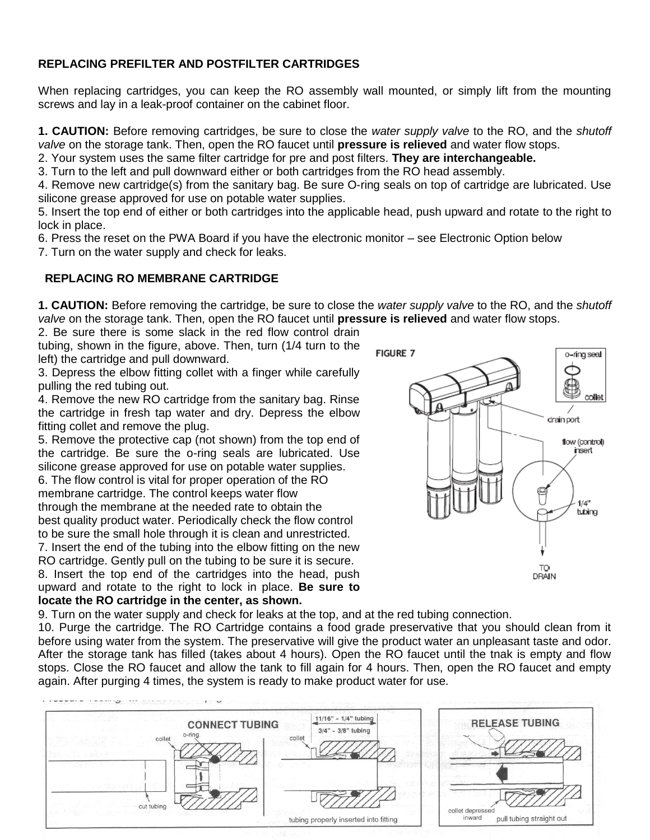## **REPLACING PREFILTER AND POSTFILTER CARTRIDGES**

When replacing cartridges, you can keep the RO assembly wall mounted, or simply lift from the mounting screws and lay in a leak-proof container on the cabinet floor.

**1. CAUTION:** Before removing cartridges, be sure to close the *water supply valve* to the RO, and the *shutoff valve* on the storage tank. Then, open the RO faucet until **pressure is relieved** and water flow stops.

2. Your system uses the same filter cartridge for pre and post filters. **They are interchangeable.**

3. Turn to the left and pull downward either or both cartridges from the RO head assembly.

4. Remove new cartridge(s) from the sanitary bag. Be sure O-ring seals on top of cartridge are lubricated. Use silicone grease approved for use on potable water supplies.

5. Insert the top end of either or both cartridges into the applicable head, push upward and rotate to the right to lock in place.

6. Press the reset on the PWA Board if you have the electronic monitor – see Electronic Option below

7. Turn on the water supply and check for leaks.

### **REPLACING RO MEMBRANE CARTRIDGE**

**1. CAUTION:** Before removing the cartridge, be sure to close the *water supply valve* to the RO, and the *shutoff valve* on the storage tank. Then, open the RO faucet until **pressure is relieved** and water flow stops.

2. Be sure there is some slack in the red flow control drain tubing, shown in the figure, above. Then, turn (1/4 turn to the left) the cartridge and pull downward.

3. Depress the elbow fitting collet with a finger while carefully pulling the red tubing out.

4. Remove the new RO cartridge from the sanitary bag. Rinse the cartridge in fresh tap water and dry. Depress the elbow fitting collet and remove the plug.

5. Remove the protective cap (not shown) from the top end of the cartridge. Be sure the o-ring seals are lubricated. Use silicone grease approved for use on potable water supplies.

6. The flow control is vital for proper operation of the RO membrane cartridge. The control keeps water flow through the membrane at the needed rate to obtain the best quality product water. Periodically check the flow control to be sure the small hole through it is clean and unrestricted. 7. Insert the end of the tubing into the elbow fitting on the new

RO cartridge. Gently pull on the tubing to be sure it is secure. 8. Insert the top end of the cartridges into the head, push upward and rotate to the right to lock in place. **Be sure to locate the RO cartridge in the center, as shown.**



9. Turn on the water supply and check for leaks at the top, and at the red tubing connection.

10. Purge the cartridge. The RO Cartridge contains a food grade preservative that you should clean from it before using water from the system. The preservative will give the product water an unpleasant taste and odor. After the storage tank has filled (takes about 4 hours). Open the RO faucet until the tnak is empty and flow stops. Close the RO faucet and allow the tank to fill again for 4 hours. Then, open the RO faucet and empty again. After purging 4 times, the system is ready to make product water for use.

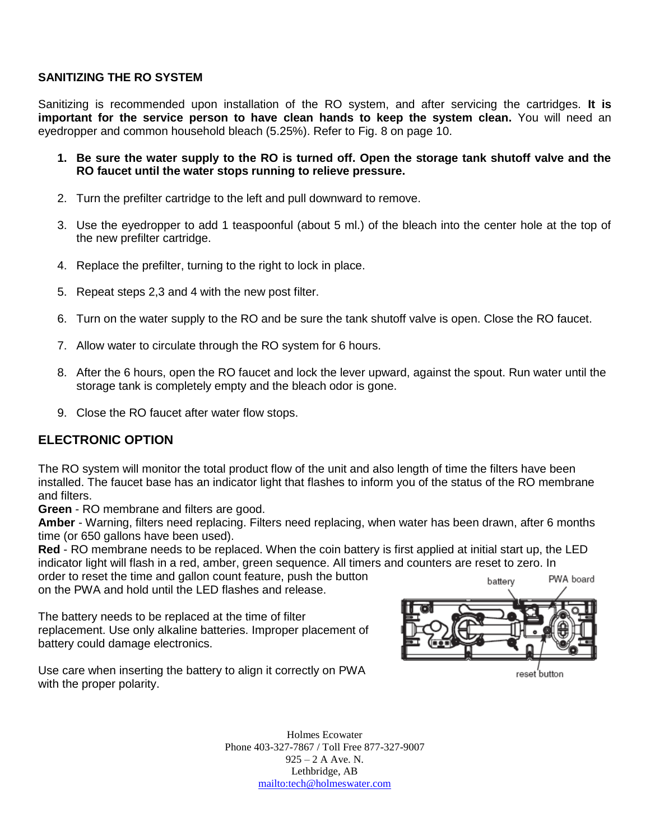#### **SANITIZING THE RO SYSTEM**

Sanitizing is recommended upon installation of the RO system, and after servicing the cartridges. **It is important for the service person to have clean hands to keep the system clean.** You will need an eyedropper and common household bleach (5.25%). Refer to Fig. 8 on page 10.

- **1. Be sure the water supply to the RO is turned off. Open the storage tank shutoff valve and the RO faucet until the water stops running to relieve pressure.**
- 2. Turn the prefilter cartridge to the left and pull downward to remove.
- 3. Use the eyedropper to add 1 teaspoonful (about 5 ml.) of the bleach into the center hole at the top of the new prefilter cartridge.
- 4. Replace the prefilter, turning to the right to lock in place.
- 5. Repeat steps 2,3 and 4 with the new post filter.
- 6. Turn on the water supply to the RO and be sure the tank shutoff valve is open. Close the RO faucet.
- 7. Allow water to circulate through the RO system for 6 hours.
- 8. After the 6 hours, open the RO faucet and lock the lever upward, against the spout. Run water until the storage tank is completely empty and the bleach odor is gone.
- 9. Close the RO faucet after water flow stops.

#### **ELECTRONIC OPTION**

The RO system will monitor the total product flow of the unit and also length of time the filters have been installed. The faucet base has an indicator light that flashes to inform you of the status of the RO membrane and filters.

**Green** - RO membrane and filters are good.

**Amber** - Warning, filters need replacing. Filters need replacing, when water has been drawn, after 6 months time (or 650 gallons have been used).

**Red** - RO membrane needs to be replaced. When the coin battery is first applied at initial start up, the LED indicator light will flash in a red, amber, green sequence. All timers and counters are reset to zero. In

order to reset the time and gallon count feature, push the button on the PWA and hold until the LED flashes and release.

The battery needs to be replaced at the time of filter replacement. Use only alkaline batteries. Improper placement of battery could damage electronics.



Use care when inserting the battery to align it correctly on PWA with the proper polarity.

reset button

Holmes Ecowater Phone 403-327-7867 / Toll Free 877-327-9007  $925 - 2$  A Ave. N. Lethbridge, AB mailto:tech@holmeswater.com